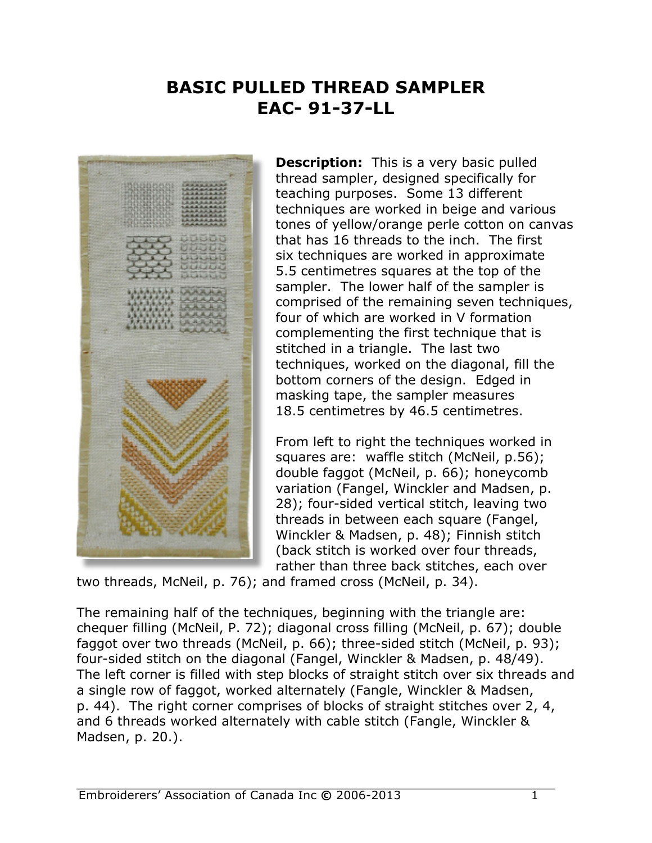## **BASIC PULLED THREAD SAMPLER EAC- 91-37-LL**



**Description:** This is a very basic pulled thread sampler, designed specifically for teaching purposes. Some 13 different techniques are worked in beige and various tones of yellow/orange perle cotton on canvas that has 16 threads to the inch. The first six techniques are worked in approximate 5.5 centimetres squares at the top of the sampler. The lower half of the sampler is comprised of the remaining seven techniques, four of which are worked in V formation complementing the first technique that is stitched in a triangle. The last two techniques, worked on the diagonal, fill the bottom corners of the design. Edged in masking tape, the sampler measures 18.5 centimetres by 46.5 centimetres.

From left to right the techniques worked in squares are: waffle stitch (McNeil, p.56); double faggot (McNeil, p. 66); honeycomb variation (Fangel, Winckler and Madsen, p. 28); four-sided vertical stitch, leaving two threads in between each square (Fangel, Winckler & Madsen, p. 48); Finnish stitch (back stitch is worked over four threads, rather than three back stitches, each over

two threads, McNeil, p. 76); and framed cross (McNeil, p. 34).

The remaining half of the techniques, beginning with the triangle are: chequer filling (McNeil, P. 72); diagonal cross filling (McNeil, p. 67); double faggot over two threads (McNeil, p. 66); three-sided stitch (McNeil, p. 93); four-sided stitch on the diagonal (Fangel, Winckler & Madsen, p. 48/49). The left corner is filled with step blocks of straight stitch over six threads and a single row of faggot, worked alternately (Fangle, Winckler & Madsen, p. 44). The right corner comprises of blocks of straight stitches over 2, 4, and 6 threads worked alternately with cable stitch (Fangle, Winckler & Madsen, p. 20.).